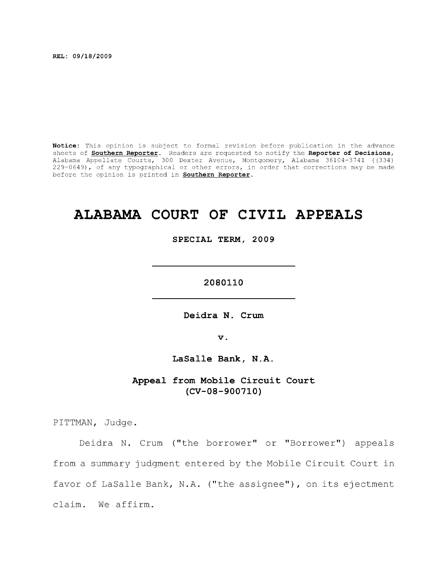**REL: 09/18/2009** 

**Notice:** This opinion is subject to formal revision before publication in the advance sheets of **Southern Reporter**. Readers are requested to notify the **Reporter of Decisions,**  Alabama Appellate Courts, 300 Dexter Avenue, Montgomery, Alabama 36104-3741 ((334) 229-0649), of any typographical or other errors, in order that corrections may be made before the opinion is printed in **Southern Reporter.** 

# **ALABAMA COURT OF CIVIL APPEALS**

**SPECIAL TERM, 2009** 

**2080110** 

Deidra N. Crum

**V .** 

LaSalle Bank, N.A.

**Appeal from Mobile Circuit Court (CV-08-900710)** 

PITTMAN, Judge.

Deidra N. Crum ("the borrower" or "Borrower") appeals from a summary judgment entered by the Mobile Circuit Court in favor of LaSalle Bank, N.A. ("the assignee"), on its ejectment claim. We affirm.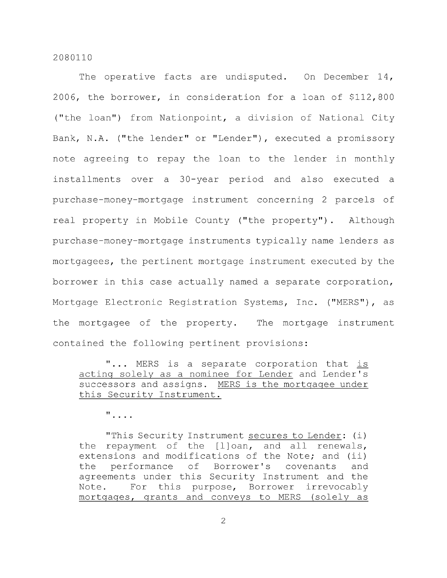The operative facts are undisputed. On December 14, 2006, the borrower, in consideration for a loan of \$112,800 ("the loan") from Nationpoint, a division of National City Bank, N.A. ("the lender" or "Lender"), executed a promissory note agreeing to repay the loan to the lender in monthly installments over a 30-year period and also executed a purchase-money-mortgage instrument concerning 2 parcels of real property in Mobile County ("the property"). Although purchase-money-mortgage instruments typically name lenders as mortgagees, the pertinent mortgage instrument executed by the borrower in this case actually named a separate corporation. Mortgage Electronic Registration Systems, Inc. ("MERS"), as the mortgagee of the property. The mortgage instrument contained the following pertinent provisions:

"... MERS is a separate corporation that is acting solely as a nominee for Lender and Lender's successors and assigns. MERS is the mortgagee under this Security Instrument.

 $\mathbf{H}$  . . . .

"This Security Instrument secures to Lender: (i) the repayment of the [l]oan, and all renewals, extensions and modifications of the Note; and (ii) the performance of Borrower's covenants and agreements under this Security Instrument and the Note. For this purpose. Borrower irrevocably mortgages, grants and conveys to MERS (solely as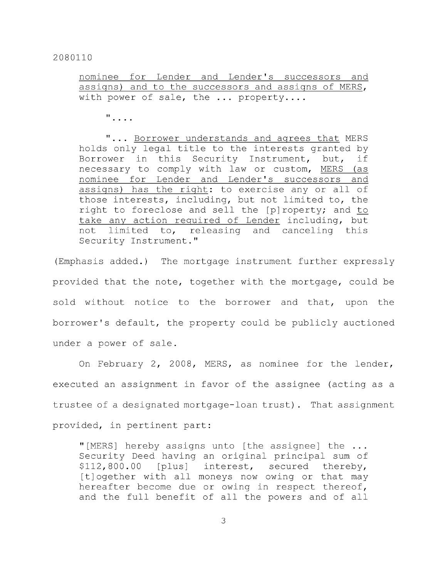nominee for Lender and Lender's successors and assigns) and to the successors and assigns of MERS, with power of sale, the ... property....

 $\mathbf{u}$  . . . .

"... Borrower understands and agrees that MERS holds only legal title to the interests granted by Borrower in this Security Instrument, but, if necessary to comply with law or custom, MERS (as nominee for Lender and Lender's successors and assigns) has the right: to exercise any or all of those interests, including, but not limited to, the right to foreclose and sell the [p]roperty; and to take any action reguired of Lender including, but not limited to, releasing and canceling this Security Instrument."

(Emphasis added.) The mortgage instrument further expressly provided that the note, together with the mortgage, could be sold without notice to the borrower and that, upon the borrower's default, the property could be publicly auctioned under a power of sale.

On February 2, 2008, MERS, as nominee for the lender, executed an assignment in favor of the assignee (acting as a trustee of a designated mortgage-loan trust). That assignment provided, in pertinent part:

"[MERS] hereby assigns unto [the assignee] the ... Security Deed having an original principal sum of \$112,800.00 [plus] interest, secured thereby, [t]ogether with all moneys now owing or that may hereafter become due or owing in respect thereof, and the full benefit of all the powers and of all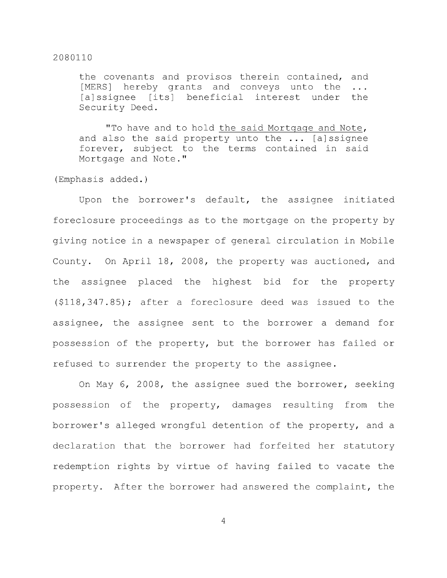the covenants and provisos therein contained, and [MERS] hereby grants and conveys unto the ...<br>[a]ssignee [its] beneficial interest under the [its] beneficial interest under the Security Deed.

"To have and to hold the said Mortgage and Note, and also the said property unto the ... [ajssignee forever, subject to the terms contained in said Mortgage and Note."

(Emphasis added.)

Upon the borrower's default, the assignee initiated foreclosure proceedings as to the mortgage on the property by giving notice in a newspaper of general circulation in Mobile County. On April 18, 2008, the property was auctioned, and the assignee placed the highest bid for the property (\$118,347.85); after a foreclosure deed was issued to the assignee, the assignee sent to the borrower a demand for possession of the property, but the borrower has failed or refused to surrender the property to the assignee.

On May 6, 2008, the assignee sued the borrower, seeking possession of the property, damages resulting from the borrower's alleged wrongful detention of the property, and a declaration that the borrower had forfeited her statutory redemption rights by virtue of having failed to vacate the property. After the borrower had answered the complaint, the

 $\overline{4}$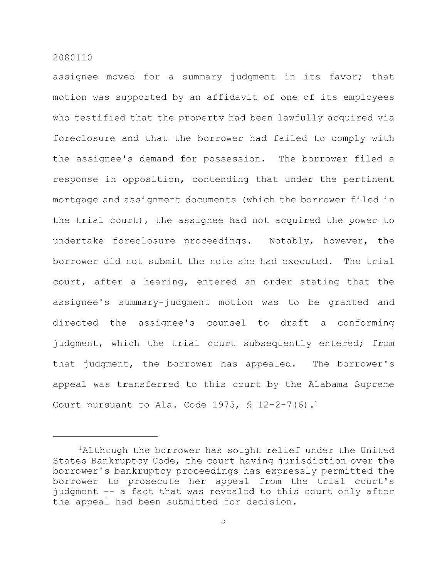assignee moved for a summary judgment in its favor; that motion was supported by an affidavit of one of its employees who testified that the property had been lawfully acquired via foreclosure and that the borrower had failed to comply with the assignee's demand for possession. The borrower filed a response in opposition, contending that under the pertinent mortgage and assignment documents (which the borrower filed in the trial court), the assignee had not acquired the power to undertake foreclosure proceedings. Notably, however, the borrower did not submit the note she had executed. The trial court, after a hearing, entered an order stating that the assignee's summary-judgment motion was to be granted and directed the assignee's counsel to draft a conforming judgment, which the trial court subsequently entered; from that judgment, the borrower has appealed. The borrower's appeal was transferred to this court by the Alabama Supreme Court pursuant to Ala. Code 1975,  $\frac{1}{2}$  12-2-7(6).<sup>1</sup>

 $A$ lthough the borrower has sought relief under the United States Bankruptcy Code, the court having jurisdiction over the borrower's bankruptcy proceedings has expressly permitted the borrower to prosecute her appeal from the trial court's judgment -- a fact that was revealed to this court only after the appeal had been submitted for decision.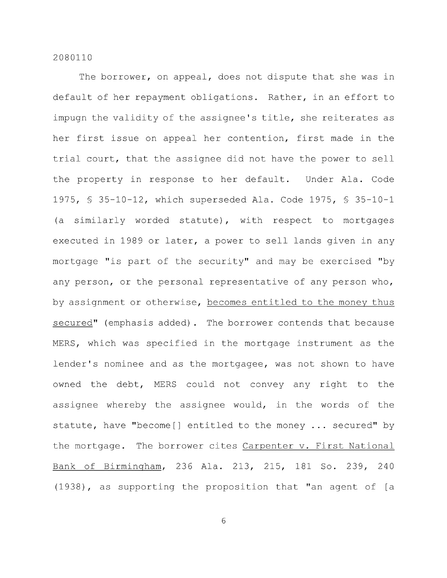The borrower, on appeal, does not dispute that she was in default of her repayment obligations. Rather, in an effort to impugn the validity of the assignee's title, she reiterates as her first issue on appeal her contention, first made in the trial court, that the assignee did not have the power to sell the property in response to her default. Under Ala. Code 1975, § 35-10-12, which superseded Ala. Code 1975, § 35-10-1 (a similarly worded statute), with respect to mortgages executed in 1989 or later, a power to sell lands given in any mortgage "is part of the security" and may be exercised "by any person, or the personal representative of any person who, by assignment or otherwise, becomes entitled to the money thus secured" (emphasis added). The borrower contends that because MERS, which was specified in the mortgage instrument as the lender's nominee and as the mortgagee, was not shown to have owned the debt, MERS could not convey any right to the assignee whereby the assignee would, in the words of the statute, have "become[] entitled to the money ... secured" by the mortgage. The borrower cites Carpenter v. First National Bank of Birmingham, 236 Ala. 213, 215, 181 So. 239, 240 (1938), as supporting the proposition that "an agent of [a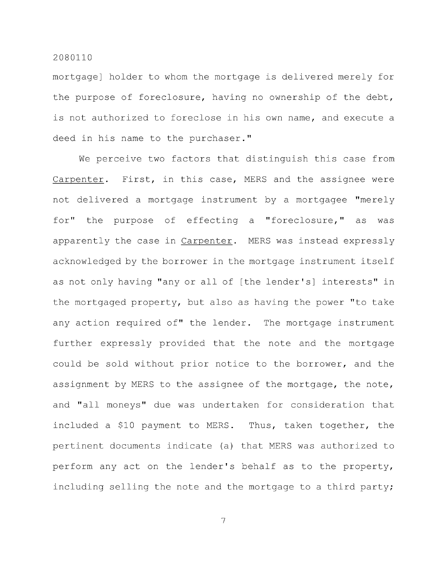mortgage] holder to whom the mortgage is delivered merely for the purpose of foreclosure, having no ownership of the debt, is not authorized to foreclose in his own name, and execute a deed in his name to the purchaser."

We perceive two factors that distinguish this case from Carpenter. First, in this case, MERS and the assignee were not delivered a mortgage instrument by a mortgagee "merely for" the purpose of effecting a "foreclosure," as was apparently the case in Carpenter. MERS was instead expressly acknowledged by the borrower in the mortgage instrument itself as not only having "any or all of [the lender's] interests" in the mortgaged property, but also as having the power "to take any action required of" the lender. The mortgage instrument further expressly provided that the note and the mortgage could be sold without prior notice to the borrower, and the assignment by MERS to the assignee of the mortgage, the note, and "all moneys" due was undertaken for consideration that included a \$10 payment to MERS. Thus, taken together, the pertinent documents indicate (a) that MERS was authorized to perform any act on the lender's behalf as to the property, including selling the note and the mortgage to a third party;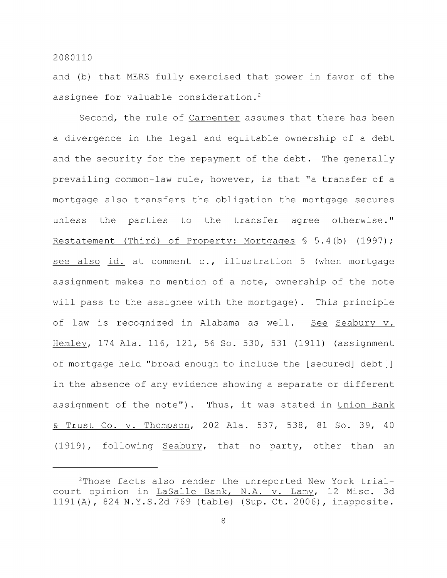and (b) that MERS fully exercised that power in favor of the assignee for valuable consideration.<sup>2</sup>

Second, the rule of Carpenter assumes that there has been a divergence in the legal and equitable ownership of a debt and the security for the repayment of the debt. The generally prevailing common-law rule, however, is that "a transfer of a mortgage also transfers the obligation the mortgage secures unless the parties to the transfer agree otherwise." Restatement (Third) of Property: Mortgages § 5.4(b) (1997); see also id. at comment c., illustration 5 (when mortgage assignment makes no mention of a note, ownership of the note will pass to the assignee with the mortgage). This principle of law is recognized in Alabama as well. See Seabury v. Hemley, 174 Ala. 116, 121, 56 So. 530, 531 (1911) (assignment of mortgage held "broad enough to include the [secured] debt[] in the absence of any evidence showing a separate or different assignment of the note"). Thus, it was stated in Union Bank & Trust Co. V. Thompson, 202 Ala. 537, 538, 81 So. 39, 40 (1919), following Seabury, that no party, other than an

 $2$ Those facts also render the unreported New York trialcourt opinion in LaSalle Bank, N.A. v. Lamy, 12 Misc. 3d 1191(A), 824 N.Y.S.2d 769 (table) (Sup. Ct. 2006), inapposite.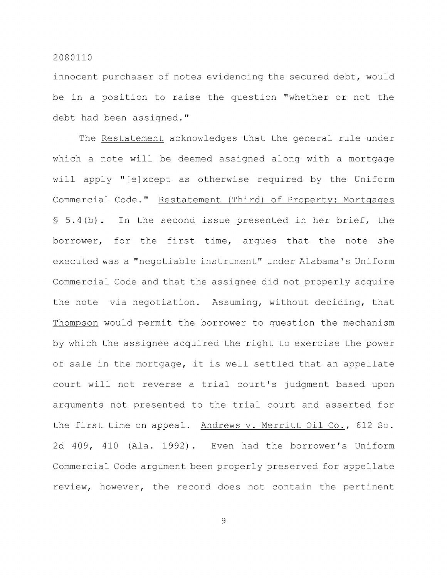innocent purchaser of notes evidencing the secured debt, would be in a position to raise the question "whether or not the debt had been assigned."

The Restatement acknowledges that the general rule under which a note will be deemed assigned along with a mortgage will apply "[ejxcept as otherwise required by the Uniform Commercial Code." Restatement (Third) of Property: Mortgages § 5.4(b). In the second issue presented in her brief, the borrower, for the first time, argues that the note she executed was a "negotiable instrument" under Alabama's Uniform Commercial Code and that the assignee did not properly acquire the note via negotiation. Assuming, without deciding, that Thompson would permit the borrower to question the mechanism by which the assignee acquired the right to exercise the power of sale in the mortgage, it is well settled that an appellate court will not reverse a trial court's judgment based upon arguments not presented to the trial court and asserted for the first time on appeal. Andrews v. Merritt Oil Co., 612 So. 2d 409, 410 (Ala. 1992) . Even had the borrower's Uniform Commercial Code argument been properly preserved for appellate review, however, the record does not contain the pertinent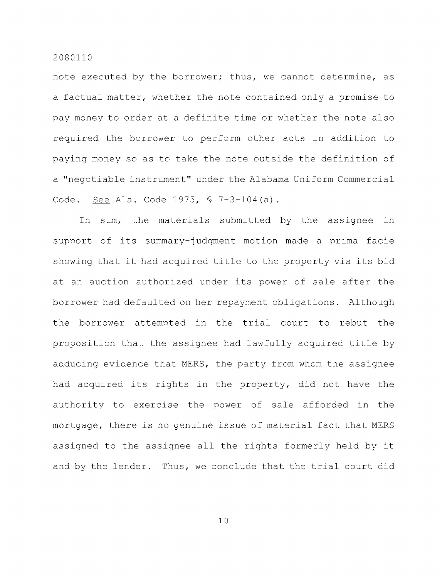note executed by the borrower; thus, we cannot determine, as a factual matter, whether the note contained only a promise to pay money to order at a definite time or whether the note also required the borrower to perform other acts in addition to paying money so as to take the note outside the definition of a "negotiable instrument" under the Alabama Uniform Commercial Code. See Ala. Code 1975, § 7-3-104(a).

In sum, the materials submitted by the assignee in support of its summary-judgment motion made a prima facie showing that it had acquired title to the property via its bid at an auction authorized under its power of sale after the borrower had defaulted on her repayment obligations. Although the borrower attempted in the trial court to rebut the proposition that the assignee had lawfully acquired title by adducing evidence that MERS, the party from whom the assignee had acquired its rights in the property, did not have the authority to exercise the power of sale afforded in the mortgage, there is no genuine issue of material fact that MERS assigned to the assignee all the rights formerly held by it and by the lender. Thus, we conclude that the trial court did